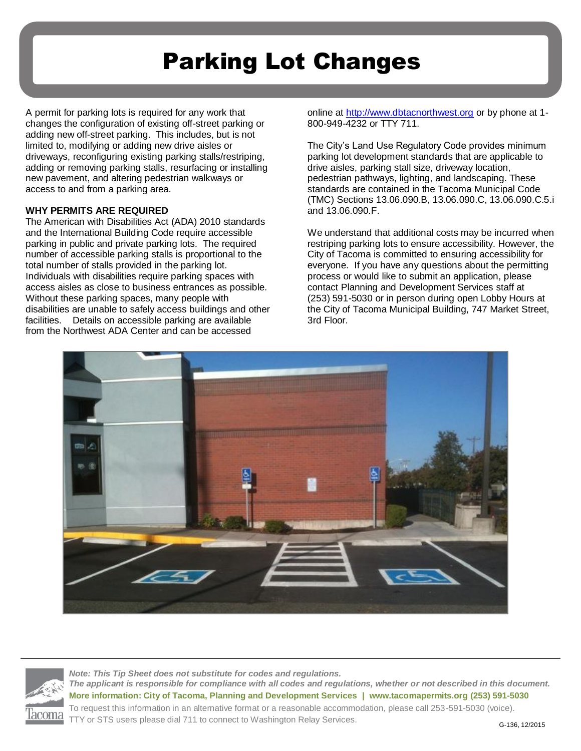## Parking Lot Changes

A permit for parking lots is required for any work that changes the configuration of existing off-street parking or adding new off-street parking. This includes, but is not limited to, modifying or adding new drive aisles or driveways, reconfiguring existing parking stalls/restriping, adding or removing parking stalls, resurfacing or installing new pavement, and altering pedestrian walkways or access to and from a parking area.

## **WHY PERMITS ARE REQUIRED**

The American with Disabilities Act (ADA) 2010 standards and the International Building Code require accessible parking in public and private parking lots. The required number of accessible parking stalls is proportional to the total number of stalls provided in the parking lot. Individuals with disabilities require parking spaces with access aisles as close to business entrances as possible. Without these parking spaces, many people with disabilities are unable to safely access buildings and other facilities. Details on accessible parking are available from the Northwest ADA Center and can be accessed

online at [http://www.dbtacnorthwest.org](http://www.dbtacnorthwest.org/) or by phone at 1- 800-949-4232 or TTY 711.

The City's Land Use Regulatory Code provides minimum parking lot development standards that are applicable to drive aisles, parking stall size, driveway location, pedestrian pathways, lighting, and landscaping. These standards are contained in the Tacoma Municipal Code (TMC) Sections 13.06.090.B, 13.06.090.C, 13.06.090.C.5.i and 13.06.090.F.

We understand that additional costs may be incurred when restriping parking lots to ensure accessibility. However, the City of Tacoma is committed to ensuring accessibility for everyone. If you have any questions about the permitting process or would like to submit an application, please contact Planning and Development Services staff at (253) 591-5030 or in person during open Lobby Hours at the City of Tacoma Municipal Building, 747 Market Street, 3rd Floor.





*Note: This Tip Sheet does not substitute for codes and regulations. The applicant is responsible for compliance with all codes and regulations, whether or not described in this document.* **More information: City of Tacoma, Planning and Development Services | www.tacomapermits.org (253) 591-5030** To request this information in an alternative format or a reasonable accommodation, please call 253-591-5030 (voice). TTY or STS users please dial 711 to connect to Washington Relay Services.